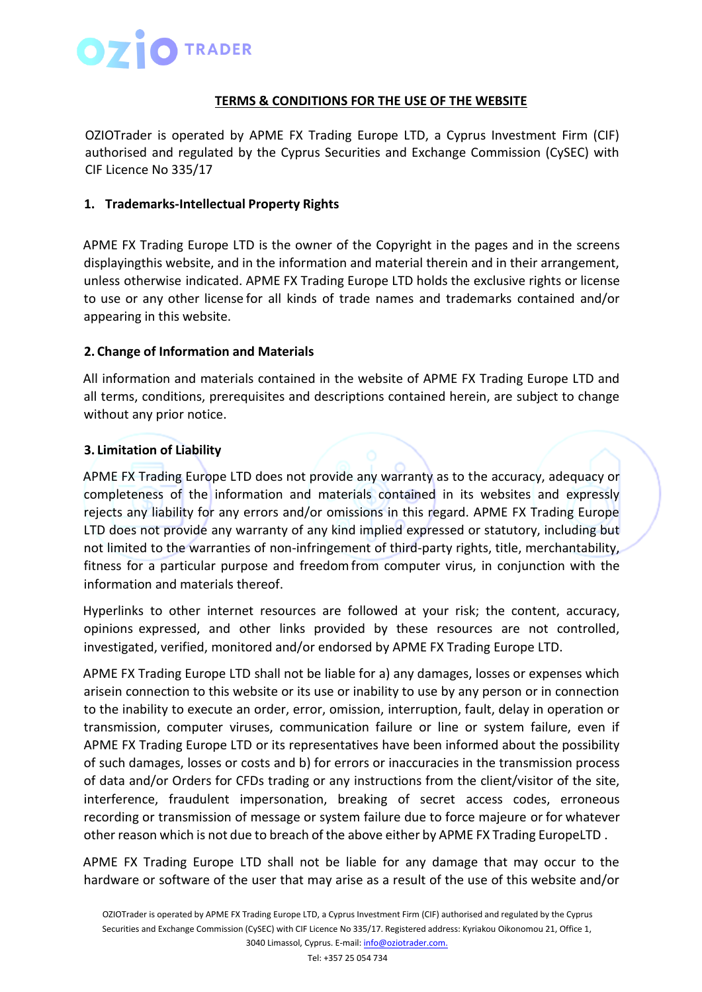

### **TERMS & CONDITIONS FOR THE USE OF THE WEBSITE**

OZIOTrader is operated by APME FX Trading Europe LTD, a Cyprus Investment Firm (CIF) authorised and regulated by the Cyprus Securities and Exchange Commission (CySEC) with CIF Licence No 335/17

#### **1. Trademarks-Intellectual Property Rights**

APME FX Trading Europe LTD is the owner of the Copyright in the pages and in the screens displayingthis website, and in the information and material therein and in their arrangement, unless otherwise indicated. APME FX Trading Europe LTD holds the exclusive rights or license to use or any other license for all kinds of trade names and trademarks contained and/or appearing in this website.

## **2. Change of Information and Materials**

All information and materials contained in the website of APME FX Trading Europe LTD and all terms, conditions, prerequisites and descriptions contained herein, are subject to change without any prior notice.

## **3. Limitation of Liability**

APME FX Trading Europe LTD does not provide any warranty as to the accuracy, adequacy or completeness of the information and materials contained in its websites and expressly rejects any liability for any errors and/or omissions in this regard. APME FX Trading Europe LTD does not provide any warranty of any kind implied expressed or statutory, including but not limited to the warranties of non-infringement of third-party rights, title, merchantability, fitness for a particular purpose and freedomfrom computer virus, in conjunction with the information and materials thereof.

Hyperlinks to other internet resources are followed at your risk; the content, accuracy, opinions expressed, and other links provided by these resources are not controlled, investigated, verified, monitored and/or endorsed by APME FX Trading Europe LTD.

APME FX Trading Europe LTD shall not be liable for a) any damages, losses or expenses which arisein connection to this website or its use or inability to use by any person or in connection to the inability to execute an order, error, omission, interruption, fault, delay in operation or transmission, computer viruses, communication failure or line or system failure, even if APME FX Trading Europe LTD or its representatives have been informed about the possibility of such damages, losses or costs and b) for errors or inaccuracies in the transmission process of data and/or Orders for CFDs trading or any instructions from the client/visitor of the site, interference, fraudulent impersonation, breaking of secret access codes, erroneous recording or transmission of message or system failure due to force majeure or for whatever other reason which is not due to breach of the above either by APME FX Trading EuropeLTD .

APME FX Trading Europe LTD shall not be liable for any damage that may occur to the hardware or software of the user that may arise as a result of the use of this website and/or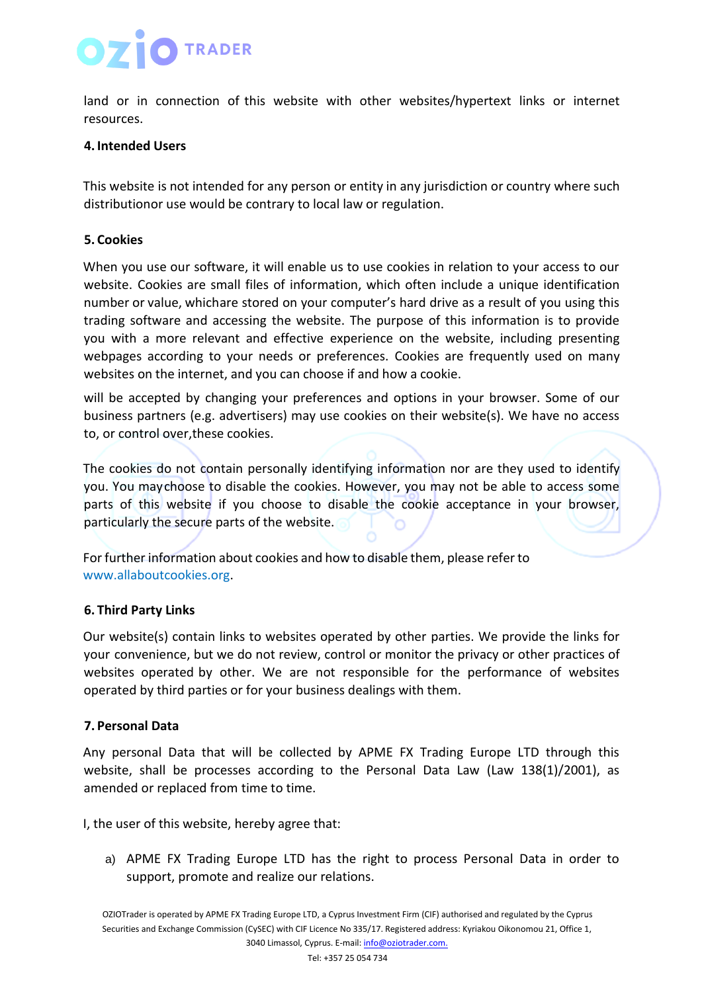# **O** TRADER

land or in connection of this website with other websites/hypertext links or internet resources.

#### **4. Intended Users**

This website is not intended for any person or entity in any jurisdiction or country where such distributionor use would be contrary to local law or regulation.

### **5. Cookies**

When you use our software, it will enable us to use cookies in relation to your access to our website. Cookies are small files of information, which often include a unique identification number or value, whichare stored on your computer's hard drive as a result of you using this trading software and accessing the website. The purpose of this information is to provide you with a more relevant and effective experience on the website, including presenting webpages according to your needs or preferences. Cookies are frequently used on many websites on the internet, and you can choose if and how a cookie.

will be accepted by changing your preferences and options in your browser. Some of our business partners (e.g. advertisers) may use cookies on their website(s). We have no access to, or control over,these cookies.

The cookies do not contain personally identifying information nor are they used to identify you. You maychoose to disable the cookies. However, you may not be able to access some parts of this website if you choose to disable the cookie acceptance in your browser, particularly the secure parts of the website.

For further information about cookies and how to disable them, please refer to [www.allaboutcookies.org.](http://www.allaboutcookies.org/)

#### **6. Third Party Links**

Our website(s) contain links to websites operated by other parties. We provide the links for your convenience, but we do not review, control or monitor the privacy or other practices of websites operated by other. We are not responsible for the performance of websites operated by third parties or for your business dealings with them.

## **7. Personal Data**

Any personal Data that will be collected by APME FX Trading Europe LTD through this website, shall be processes according to the Personal Data Law (Law 138(1)/2001), as amended or replaced from time to time.

I, the user of this website, hereby agree that:

a) APME FX Trading Europe LTD has the right to process Personal Data in order to support, promote and realize our relations.